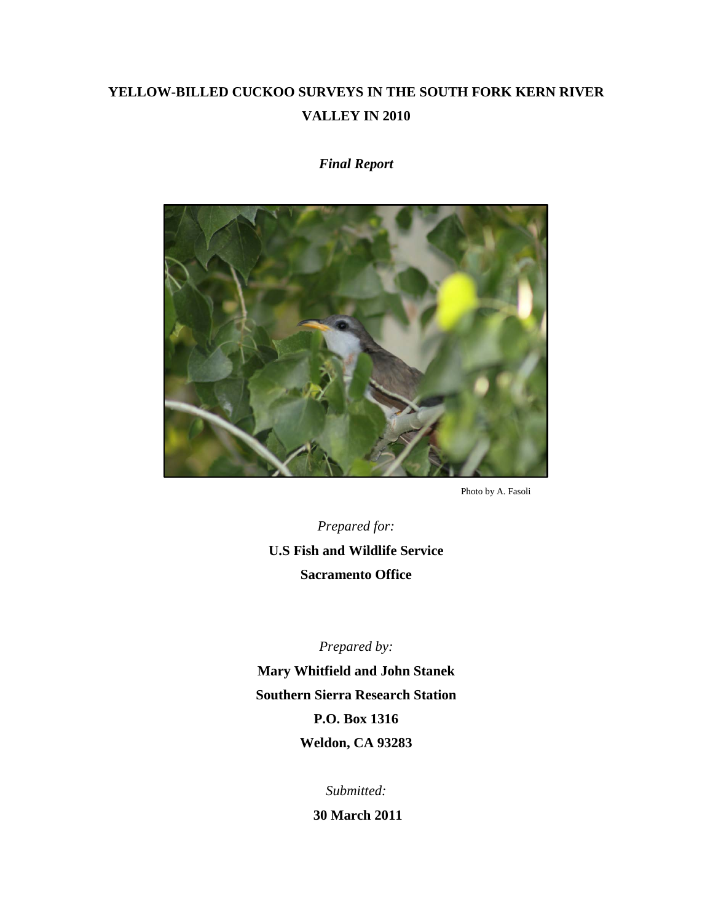## **YELLOW-BILLED CUCKOO SURVEYS IN THE SOUTH FORK KERN RIVER VALLEY IN 2010**

### *Final Report*



Photo by A. Fasoli

*Prepared for:* **U.S Fish and Wildlife Service Sacramento Office**

*Prepared by:*

**Mary Whitfield and John Stanek Southern Sierra Research Station P.O. Box 1316 Weldon, CA 93283**

*Submitted:*

**30 March 2011**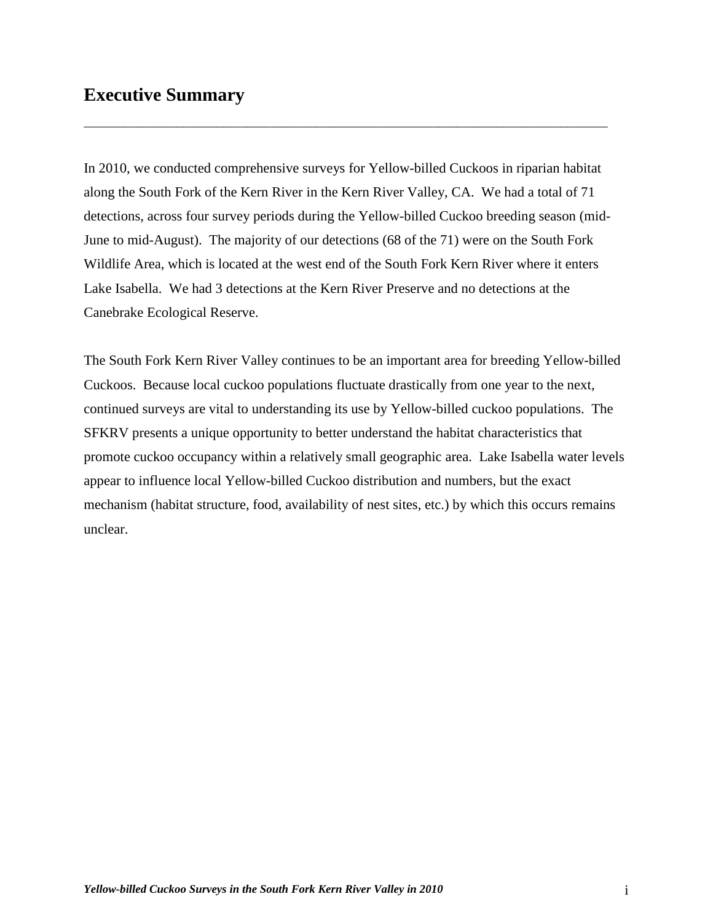## **Executive Summary**

In 2010, we conducted comprehensive surveys for Yellow-billed Cuckoos in riparian habitat along the South Fork of the Kern River in the Kern River Valley, CA. We had a total of 71 detections, across four survey periods during the Yellow-billed Cuckoo breeding season (mid-June to mid-August). The majority of our detections (68 of the 71) were on the South Fork Wildlife Area, which is located at the west end of the South Fork Kern River where it enters Lake Isabella. We had 3 detections at the Kern River Preserve and no detections at the Canebrake Ecological Reserve.

\_\_\_\_\_\_\_\_\_\_\_\_\_\_\_\_\_\_\_\_\_\_\_\_\_\_\_\_\_\_\_\_\_\_\_\_\_\_\_\_\_\_\_\_\_\_\_\_\_\_\_\_\_\_\_\_\_\_\_\_\_\_\_\_\_\_\_\_\_\_\_\_\_\_\_\_\_\_\_\_\_\_\_\_\_\_\_\_\_\_

The South Fork Kern River Valley continues to be an important area for breeding Yellow-billed Cuckoos. Because local cuckoo populations fluctuate drastically from one year to the next, continued surveys are vital to understanding its use by Yellow-billed cuckoo populations. The SFKRV presents a unique opportunity to better understand the habitat characteristics that promote cuckoo occupancy within a relatively small geographic area. Lake Isabella water levels appear to influence local Yellow-billed Cuckoo distribution and numbers, but the exact mechanism (habitat structure, food, availability of nest sites, etc.) by which this occurs remains unclear.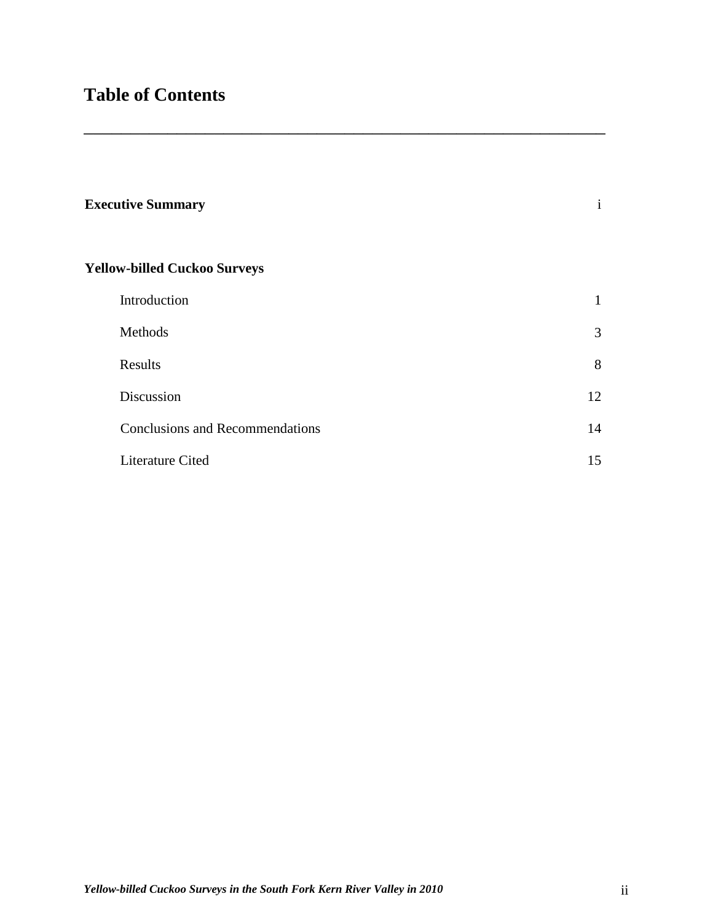| <b>Executive Summary</b>               | $\mathbf{1}$ |
|----------------------------------------|--------------|
| <b>Yellow-billed Cuckoo Surveys</b>    |              |
| Introduction                           | $\mathbf{1}$ |
| Methods                                | 3            |
| Results                                | 8            |
| Discussion                             | 12           |
| <b>Conclusions and Recommendations</b> | 14           |
| Literature Cited                       | 15           |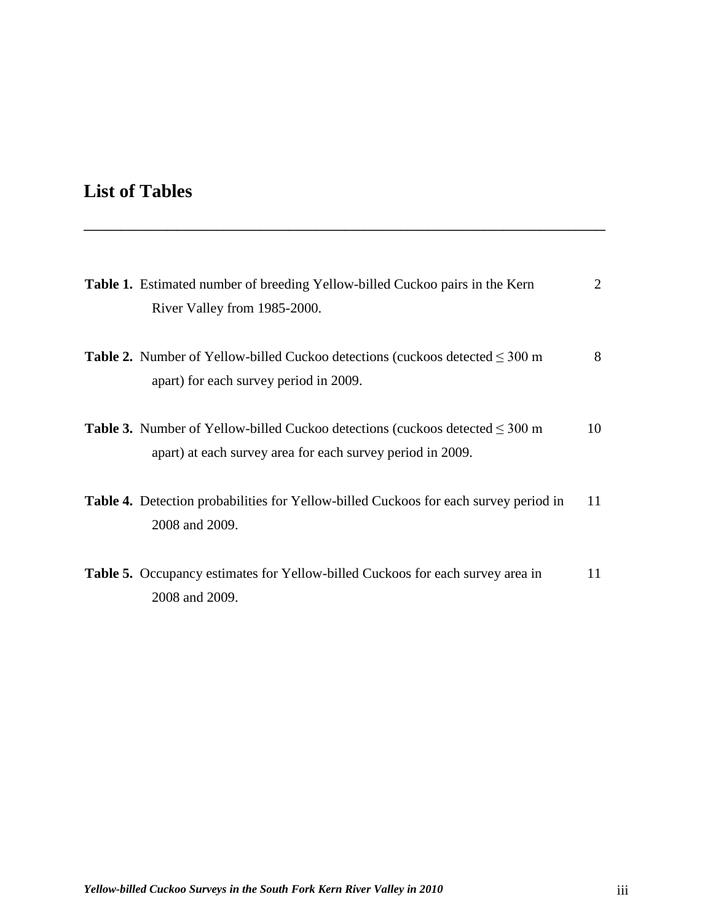# **List of Tables**

| <b>Table 1.</b> Estimated number of breeding Yellow-billed Cuckoo pairs in the Kern<br>River Valley from 1985-2000.                                    | $\overline{2}$ |
|--------------------------------------------------------------------------------------------------------------------------------------------------------|----------------|
| <b>Table 2.</b> Number of Yellow-billed Cuckoo detections (cuckoos detected $\leq$ 300 m<br>apart) for each survey period in 2009.                     | 8              |
| <b>Table 3.</b> Number of Yellow-billed Cuckoo detections (cuckoos detected $\leq$ 300 m<br>apart) at each survey area for each survey period in 2009. | 10             |
| <b>Table 4.</b> Detection probabilities for Yellow-billed Cuckoos for each survey period in<br>2008 and 2009.                                          | 11             |
| Table 5. Occupancy estimates for Yellow-billed Cuckoos for each survey area in<br>2008 and 2009.                                                       | 11             |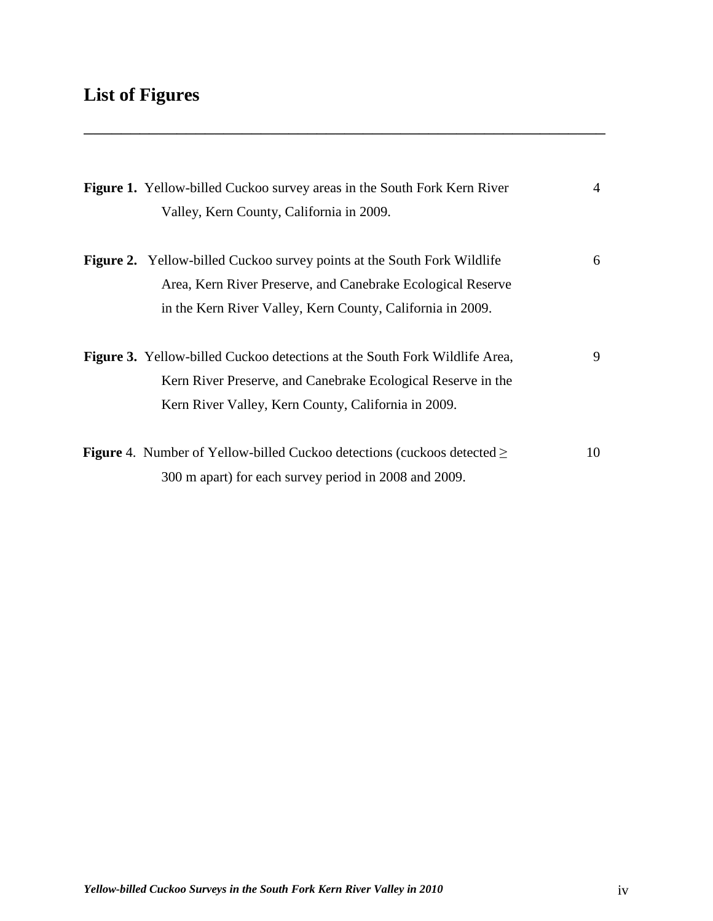# **List of Figures**

| <b>Figure 1.</b> Yellow-billed Cuckoo survey areas in the South Fork Kern River     | $\overline{4}$ |
|-------------------------------------------------------------------------------------|----------------|
| Valley, Kern County, California in 2009.                                            |                |
|                                                                                     |                |
| <b>Figure 2.</b> Yellow-billed Cuckoo survey points at the South Fork Wildlife      | 6              |
| Area, Kern River Preserve, and Canebrake Ecological Reserve                         |                |
| in the Kern River Valley, Kern County, California in 2009.                          |                |
|                                                                                     |                |
| <b>Figure 3.</b> Yellow-billed Cuckoo detections at the South Fork Wildlife Area,   | 9              |
| Kern River Preserve, and Canebrake Ecological Reserve in the                        |                |
| Kern River Valley, Kern County, California in 2009.                                 |                |
|                                                                                     |                |
| <b>Figure</b> 4. Number of Yellow-billed Cuckoo detections (cuckoos detected $\geq$ | 10             |
| 300 m apart) for each survey period in 2008 and 2009.                               |                |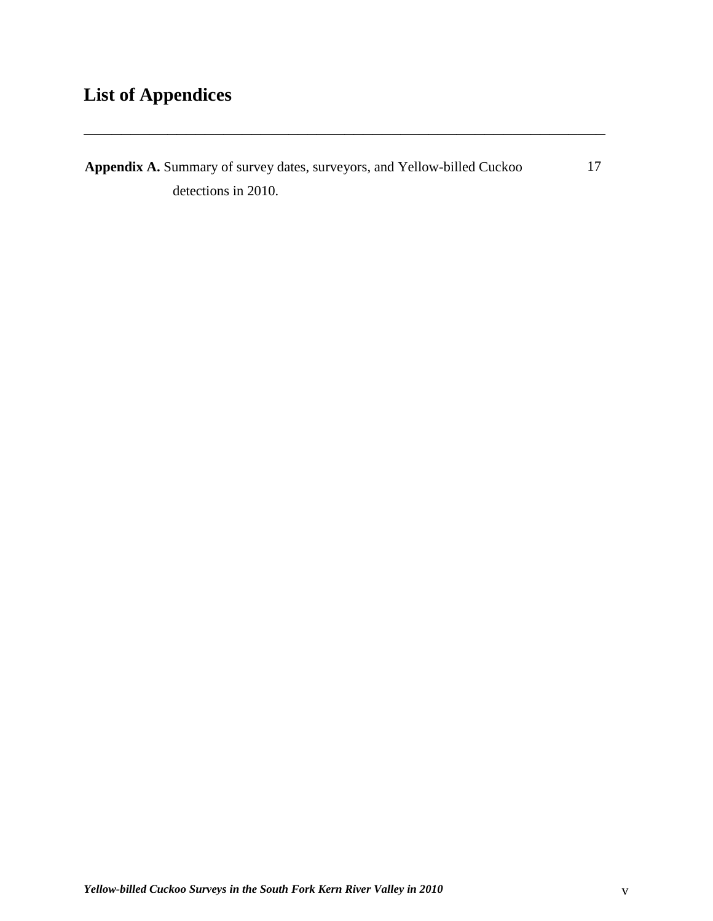# **List of Appendices**

**Appendix A.** Summary of survey dates, surveyors, and Yellow-billed Cuckoo detections in 2010. 17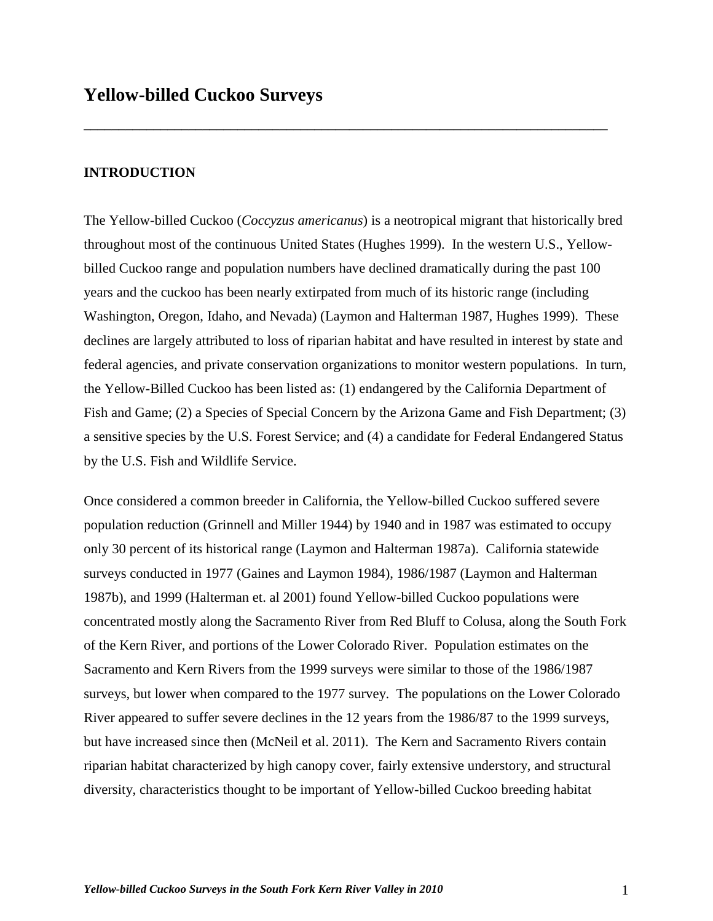#### **INTRODUCTION**

The Yellow-billed Cuckoo (*Coccyzus americanus*) is a neotropical migrant that historically bred throughout most of the continuous United States (Hughes 1999). In the western U.S., Yellowbilled Cuckoo range and population numbers have declined dramatically during the past 100 years and the cuckoo has been nearly extirpated from much of its historic range (including Washington, Oregon, Idaho, and Nevada) (Laymon and Halterman 1987, Hughes 1999). These declines are largely attributed to loss of riparian habitat and have resulted in interest by state and federal agencies, and private conservation organizations to monitor western populations. In turn, the Yellow-Billed Cuckoo has been listed as: (1) endangered by the California Department of Fish and Game; (2) a Species of Special Concern by the Arizona Game and Fish Department; (3) a sensitive species by the U.S. Forest Service; and (4) a candidate for Federal Endangered Status by the U.S. Fish and Wildlife Service.

**\_\_\_\_\_\_\_\_\_\_\_\_\_\_\_\_\_\_\_\_\_\_\_\_\_\_\_\_\_\_\_\_\_\_\_\_\_\_\_\_\_\_\_\_\_\_\_\_\_\_\_\_\_\_\_\_\_\_\_\_\_\_\_\_\_\_\_\_\_\_\_\_\_\_\_**

Once considered a common breeder in California, the Yellow-billed Cuckoo suffered severe population reduction (Grinnell and Miller 1944) by 1940 and in 1987 was estimated to occupy only 30 percent of its historical range (Laymon and Halterman 1987a). California statewide surveys conducted in 1977 (Gaines and Laymon 1984), 1986/1987 (Laymon and Halterman 1987b), and 1999 (Halterman et. al 2001) found Yellow-billed Cuckoo populations were concentrated mostly along the Sacramento River from Red Bluff to Colusa, along the South Fork of the Kern River, and portions of the Lower Colorado River. Population estimates on the Sacramento and Kern Rivers from the 1999 surveys were similar to those of the 1986/1987 surveys, but lower when compared to the 1977 survey. The populations on the Lower Colorado River appeared to suffer severe declines in the 12 years from the 1986/87 to the 1999 surveys, but have increased since then (McNeil et al. 2011). The Kern and Sacramento Rivers contain riparian habitat characterized by high canopy cover, fairly extensive understory, and structural diversity, characteristics thought to be important of Yellow-billed Cuckoo breeding habitat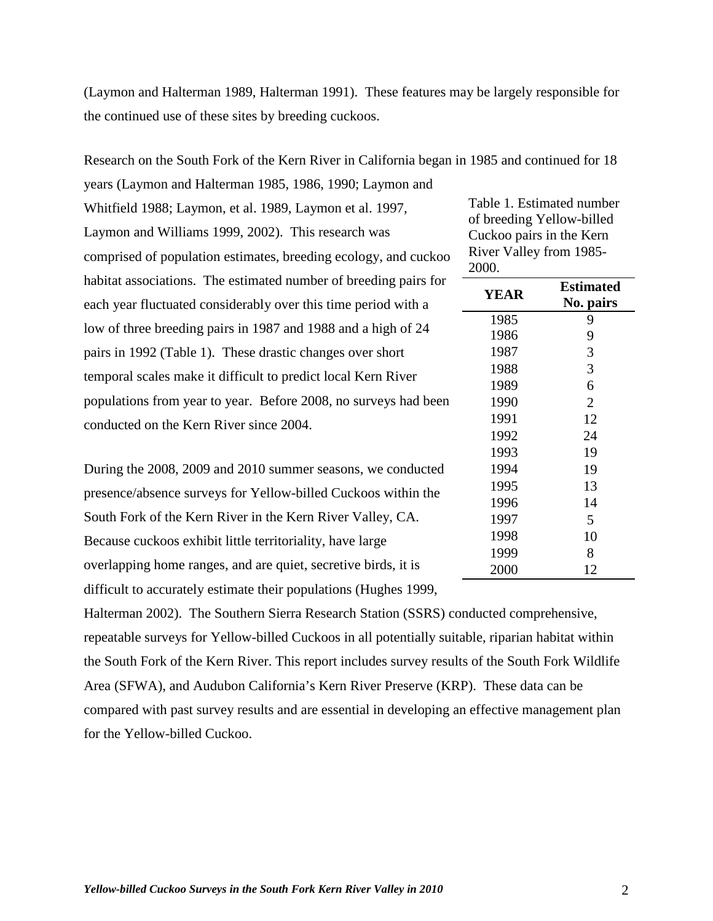(Laymon and Halterman 1989, Halterman 1991). These features may be largely responsible for the continued use of these sites by breeding cuckoos.

Research on the South Fork of the Kern River in California began in 1985 and continued for 18 years (Laymon and Halterman 1985, 1986, 1990; Laymon and

Whitfield 1988; Laymon, et al. 1989, Laymon et al. 1997, Laymon and Williams 1999, 2002). This research was comprised of population estimates, breeding ecology, and cuckoo habitat associations. The estimated number of breeding pairs for each year fluctuated considerably over this time period with a low of three breeding pairs in 1987 and 1988 and a high of 24 pairs in 1992 (Table 1). These drastic changes over short temporal scales make it difficult to predict local Kern River populations from year to year. Before 2008, no surveys had been conducted on the Kern River since 2004.

During the 2008, 2009 and 2010 summer seasons, we conducted presence/absence surveys for Yellow-billed Cuckoos within the South Fork of the Kern River in the Kern River Valley, CA. Because cuckoos exhibit little territoriality, have large overlapping home ranges, and are quiet, secretive birds, it is difficult to accurately estimate their populations (Hughes 1999,

Halterman 2002). The Southern Sierra Research Station (SSRS) conducted comprehensive, repeatable surveys for Yellow-billed Cuckoos in all potentially suitable, riparian habitat within the South Fork of the Kern River. This report includes survey results of the South Fork Wildlife Area (SFWA), and Audubon California's Kern River Preserve (KRP). These data can be compared with past survey results and are essential in developing an effective management plan for the Yellow-billed Cuckoo.

| Cuckoo pairs in the Kern |                  |  |  |  |  |  |  |
|--------------------------|------------------|--|--|--|--|--|--|
| River Valley from 1985-  |                  |  |  |  |  |  |  |
| 2000.                    |                  |  |  |  |  |  |  |
| <b>YEAR</b>              | <b>Estimated</b> |  |  |  |  |  |  |
|                          | No. pairs        |  |  |  |  |  |  |
| 1985                     | 9                |  |  |  |  |  |  |
| 1986                     | 9                |  |  |  |  |  |  |
| 1987                     | 3                |  |  |  |  |  |  |
| 1988                     | 3                |  |  |  |  |  |  |
| 1989                     | 6                |  |  |  |  |  |  |
| 1990                     | $\overline{2}$   |  |  |  |  |  |  |
| 1991                     | 12               |  |  |  |  |  |  |
| 1992                     | 24               |  |  |  |  |  |  |
| 1993                     | 19               |  |  |  |  |  |  |
| 1994                     | 19               |  |  |  |  |  |  |
| 1995                     | 13               |  |  |  |  |  |  |
| 1996                     | 14               |  |  |  |  |  |  |
| 1997                     | 5                |  |  |  |  |  |  |
| 1998                     | 10               |  |  |  |  |  |  |
| 1999                     | 8                |  |  |  |  |  |  |
| 2000                     | 12               |  |  |  |  |  |  |

Table 1. Estimated number of breeding Yellow-billed

*Yellow-billed Cuckoo Surveys in the South Fork Kern River Valley in 2010* 2008 2010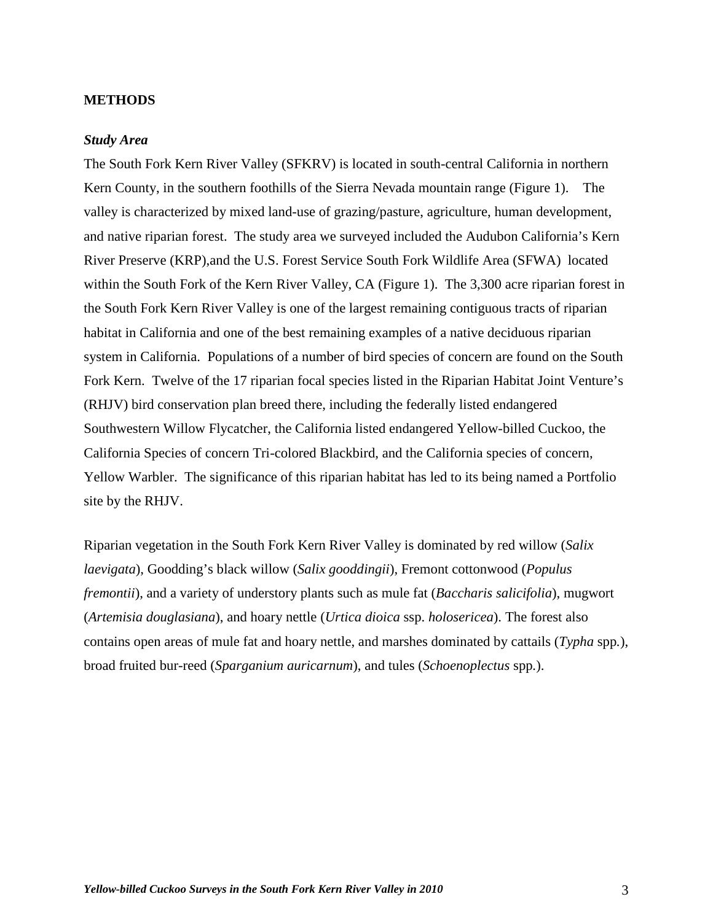#### **METHODS**

#### *Study Area*

The South Fork Kern River Valley (SFKRV) is located in south-central California in northern Kern County, in the southern foothills of the Sierra Nevada mountain range (Figure 1). The valley is characterized by mixed land-use of grazing/pasture, agriculture, human development, and native riparian forest. The study area we surveyed included the Audubon California's Kern River Preserve (KRP),and the U.S. Forest Service South Fork Wildlife Area (SFWA) located within the South Fork of the Kern River Valley, CA (Figure 1). The 3,300 acre riparian forest in the South Fork Kern River Valley is one of the largest remaining contiguous tracts of riparian habitat in California and one of the best remaining examples of a native deciduous riparian system in California. Populations of a number of bird species of concern are found on the South Fork Kern. Twelve of the 17 riparian focal species listed in the Riparian Habitat Joint Venture's (RHJV) bird conservation plan breed there, including the federally listed endangered Southwestern Willow Flycatcher, the California listed endangered Yellow-billed Cuckoo, the California Species of concern Tri-colored Blackbird, and the California species of concern, Yellow Warbler. The significance of this riparian habitat has led to its being named a Portfolio site by the RHJV.

Riparian vegetation in the South Fork Kern River Valley is dominated by red willow (*Salix laevigata*), Goodding's black willow (*Salix gooddingii*), Fremont cottonwood (*Populus fremontii*), and a variety of understory plants such as mule fat (*Baccharis salicifolia*), mugwort (*Artemisia douglasiana*), and hoary nettle (*Urtica dioica* ssp. *holosericea*). The forest also contains open areas of mule fat and hoary nettle, and marshes dominated by cattails (*Typha* spp*.*), broad fruited bur-reed (*Sparganium auricarnum*), and tules (*Schoenoplectus* spp*.*).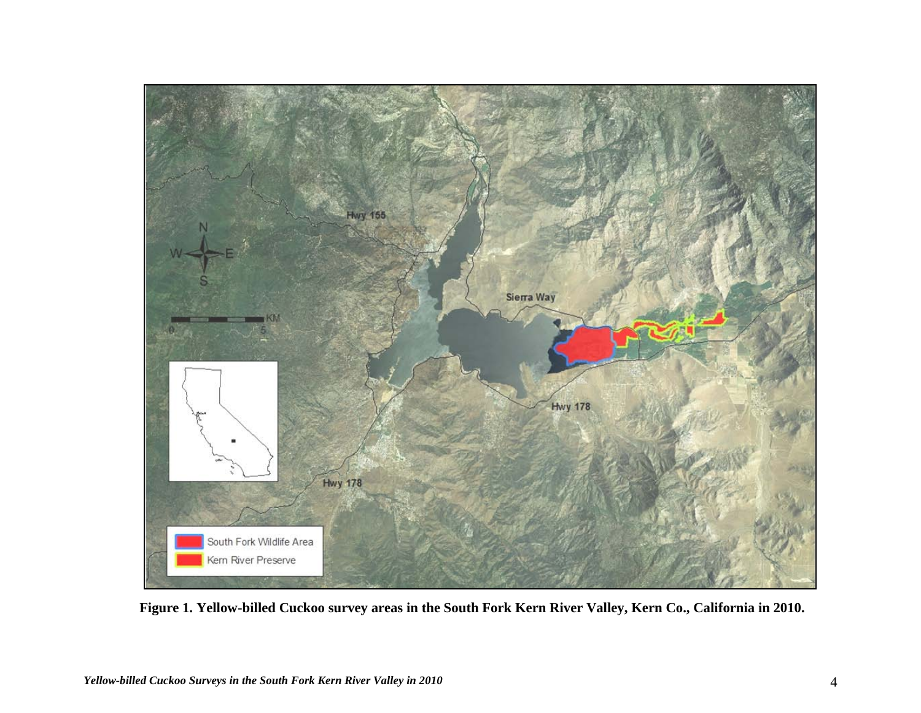

 **Figure 1. Yellow-billed Cuckoo survey areas in the South Fork Kern River Valley, Kern Co., California in 2010.**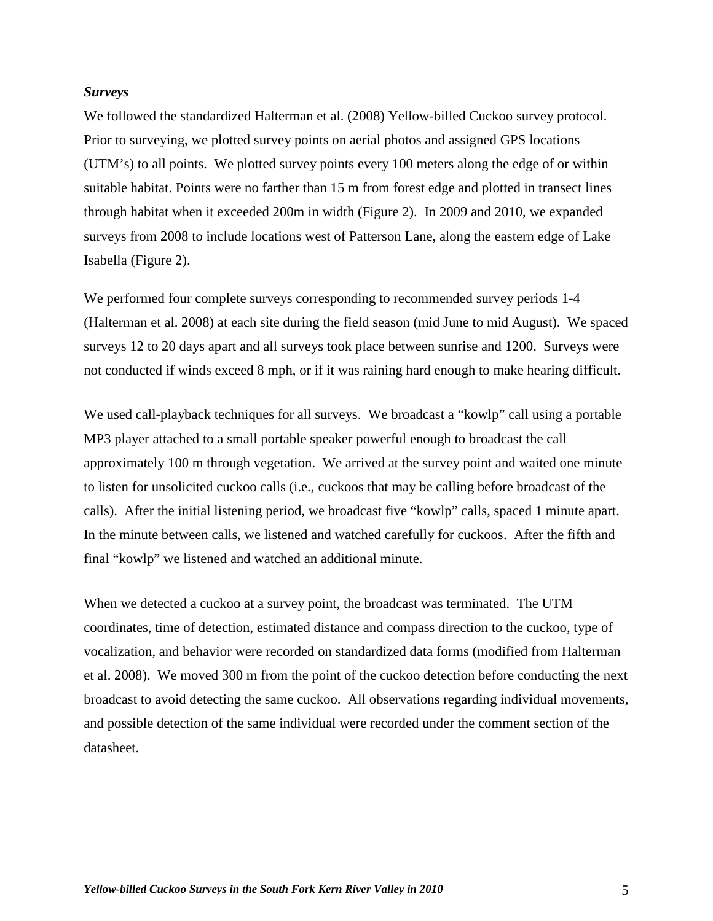#### *Surveys*

We followed the standardized Halterman et al. (2008) Yellow-billed Cuckoo survey protocol. Prior to surveying, we plotted survey points on aerial photos and assigned GPS locations (UTM's) to all points. We plotted survey points every 100 meters along the edge of or within suitable habitat. Points were no farther than 15 m from forest edge and plotted in transect lines through habitat when it exceeded 200m in width (Figure 2). In 2009 and 2010, we expanded surveys from 2008 to include locations west of Patterson Lane, along the eastern edge of Lake Isabella (Figure 2).

We performed four complete surveys corresponding to recommended survey periods 1-4 (Halterman et al. 2008) at each site during the field season (mid June to mid August). We spaced surveys 12 to 20 days apart and all surveys took place between sunrise and 1200. Surveys were not conducted if winds exceed 8 mph, or if it was raining hard enough to make hearing difficult.

We used call-playback techniques for all surveys. We broadcast a "kowlp" call using a portable MP3 player attached to a small portable speaker powerful enough to broadcast the call approximately 100 m through vegetation. We arrived at the survey point and waited one minute to listen for unsolicited cuckoo calls (i.e., cuckoos that may be calling before broadcast of the calls). After the initial listening period, we broadcast five "kowlp" calls, spaced 1 minute apart. In the minute between calls, we listened and watched carefully for cuckoos. After the fifth and final "kowlp" we listened and watched an additional minute.

When we detected a cuckoo at a survey point, the broadcast was terminated. The UTM coordinates, time of detection, estimated distance and compass direction to the cuckoo, type of vocalization, and behavior were recorded on standardized data forms (modified from Halterman et al. 2008). We moved 300 m from the point of the cuckoo detection before conducting the next broadcast to avoid detecting the same cuckoo. All observations regarding individual movements, and possible detection of the same individual were recorded under the comment section of the datasheet.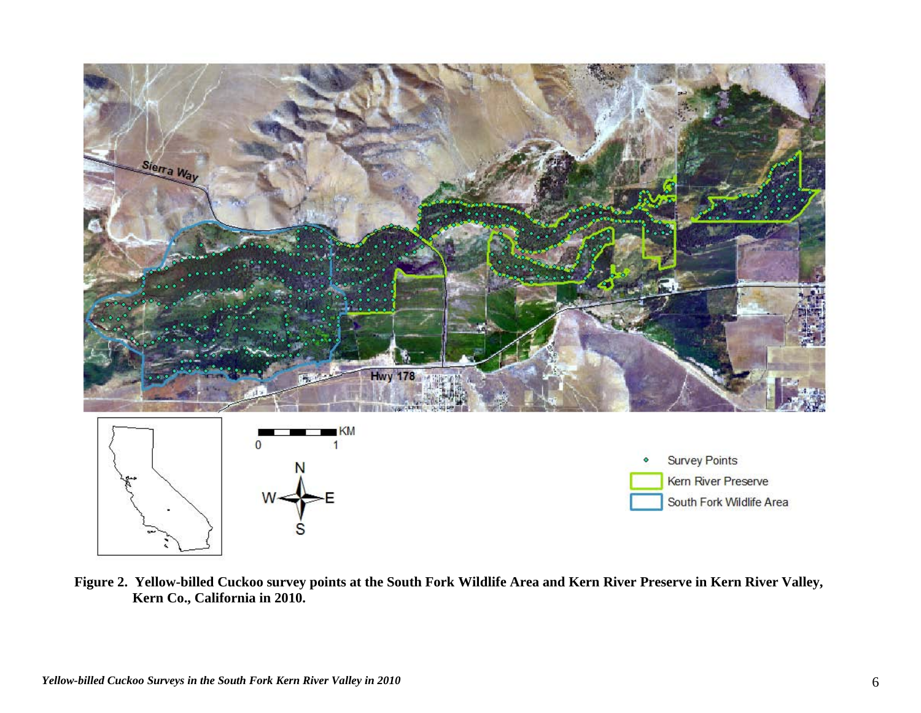

 **Figure 2. Yellow-billed Cuckoo survey points at the South Fork Wildlife Area and Kern River Preserve in Kern River Valley, Kern Co., California in 2010.**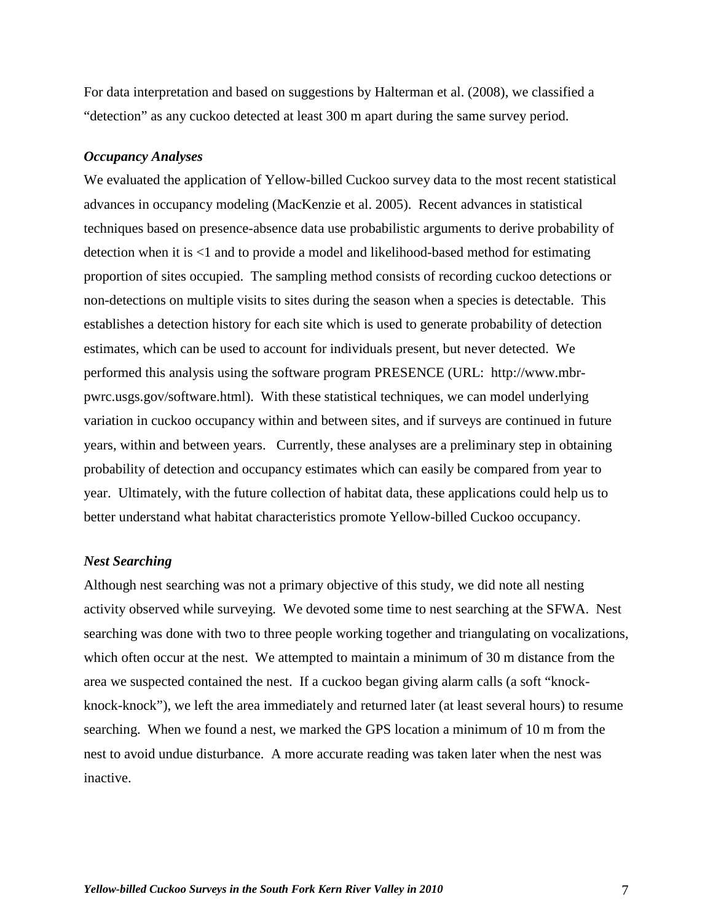For data interpretation and based on suggestions by Halterman et al. (2008), we classified a "detection" as any cuckoo detected at least 300 m apart during the same survey period.

#### *Occupancy Analyses*

We evaluated the application of Yellow-billed Cuckoo survey data to the most recent statistical advances in occupancy modeling (MacKenzie et al. 2005). Recent advances in statistical techniques based on presence-absence data use probabilistic arguments to derive probability of detection when it is <1 and to provide a model and likelihood-based method for estimating proportion of sites occupied. The sampling method consists of recording cuckoo detections or non-detections on multiple visits to sites during the season when a species is detectable. This establishes a detection history for each site which is used to generate probability of detection estimates, which can be used to account for individuals present, but never detected. We performed this analysis using the software program PRESENCE (URL: http://www.mbrpwrc.usgs.gov/software.html). With these statistical techniques, we can model underlying variation in cuckoo occupancy within and between sites, and if surveys are continued in future years, within and between years. Currently, these analyses are a preliminary step in obtaining probability of detection and occupancy estimates which can easily be compared from year to year. Ultimately, with the future collection of habitat data, these applications could help us to better understand what habitat characteristics promote Yellow-billed Cuckoo occupancy.

#### *Nest Searching*

Although nest searching was not a primary objective of this study, we did note all nesting activity observed while surveying. We devoted some time to nest searching at the SFWA. Nest searching was done with two to three people working together and triangulating on vocalizations, which often occur at the nest. We attempted to maintain a minimum of 30 m distance from the area we suspected contained the nest. If a cuckoo began giving alarm calls (a soft "knockknock-knock"), we left the area immediately and returned later (at least several hours) to resume searching. When we found a nest, we marked the GPS location a minimum of 10 m from the nest to avoid undue disturbance. A more accurate reading was taken later when the nest was inactive.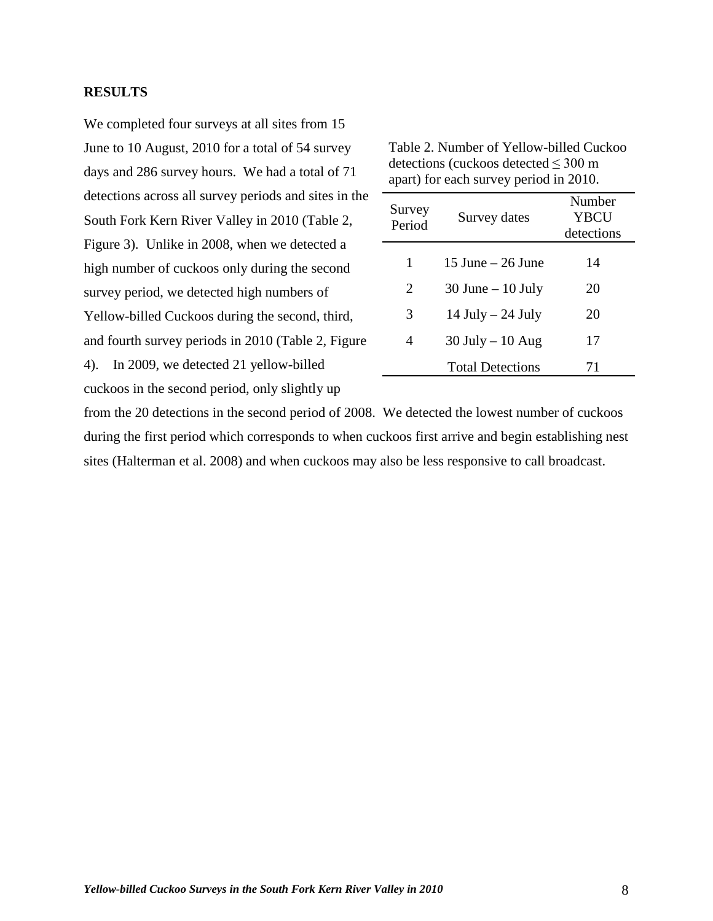#### **RESULTS**

We completed four surveys at all sites from 15 June to 10 August, 2010 for a total of 54 survey days and 286 survey hours. We had a total of 71 detections across all survey periods and sites in the South Fork Kern River Valley in 2010 (Table 2, Figure 3). Unlike in 2008, when we detected a high number of cuckoos only during the second survey period, we detected high numbers of Yellow-billed Cuckoos during the second, third, and fourth survey periods in 2010 (Table 2, Figure 4). In 2009, we detected 21 yellow-billed cuckoos in the second period, only slightly up

Table 2. Number of Yellow-billed Cuckoo detections (cuckoos detected ≤ 300 m apart) for each survey period in 2010.

| Survey<br>Period            | Survey dates            | Number<br>YBCU<br>detections |
|-----------------------------|-------------------------|------------------------------|
| 1                           | $15$ June $-26$ June    | 14                           |
| $\mathcal{D}_{\mathcal{L}}$ | $30$ June $-10$ July    | 20                           |
| 3                           | $14$ July $- 24$ July   | 20                           |
| $\overline{4}$              | $30$ July $-10$ Aug     | 17                           |
|                             | <b>Total Detections</b> | 71                           |

from the 20 detections in the second period of 2008. We detected the lowest number of cuckoos during the first period which corresponds to when cuckoos first arrive and begin establishing nest sites (Halterman et al. 2008) and when cuckoos may also be less responsive to call broadcast.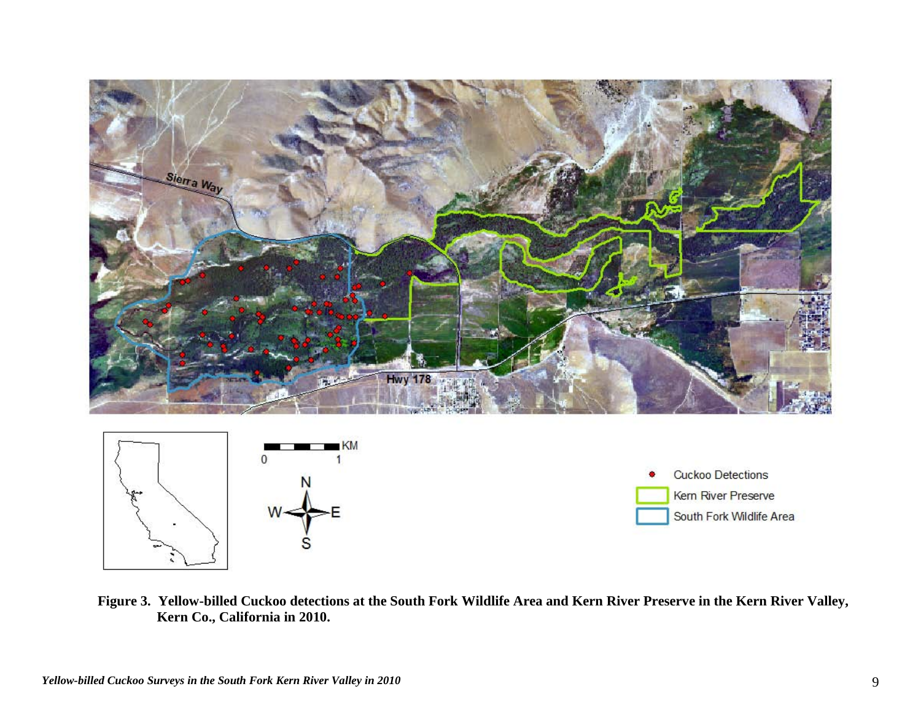

 **Figure 3. Yellow-billed Cuckoo detections at the South Fork Wildlife Area and Kern River Preserve in the Kern River Valley, Kern Co., California in 2010.**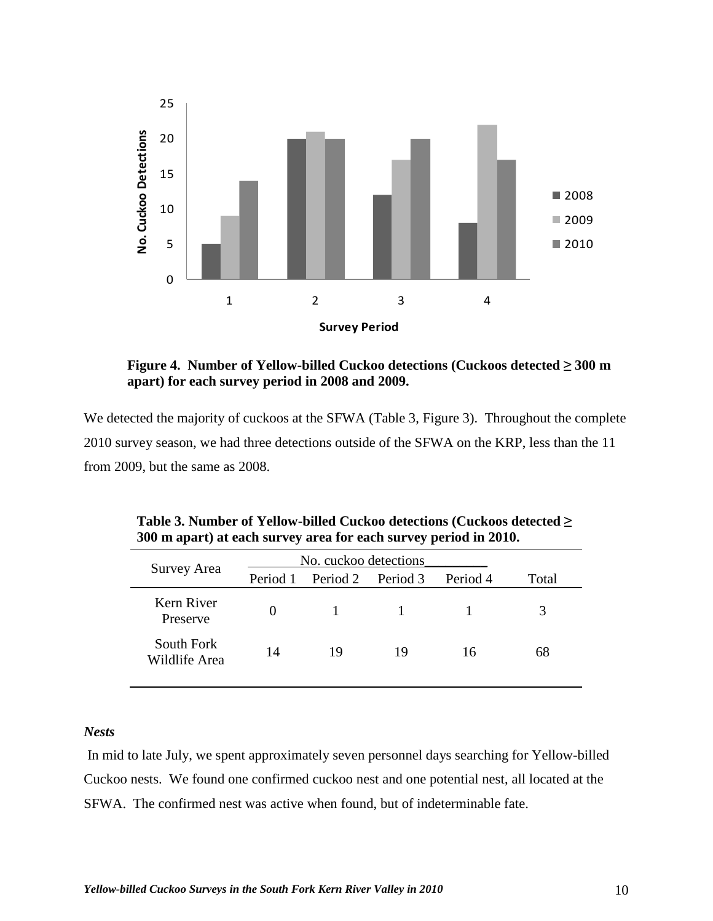

 **Figure 4. Number of Yellow-billed Cuckoo detections (Cuckoos detected ≥ 300 m apart) for each survey period in 2008 and 2009.**

We detected the majority of cuckoos at the SFWA (Table 3, Figure 3). Throughout the complete 2010 survey season, we had three detections outside of the SFWA on the KRP, less than the 11 from 2009, but the same as 2008.

|                             | No. cuckoo detections |                   |      |          |       |
|-----------------------------|-----------------------|-------------------|------|----------|-------|
| Survey Area                 | Period 1              | Period 2 Period 3 |      | Period 4 | Total |
| Kern River<br>Preserve      |                       |                   | $-1$ |          | 3     |
| South Fork<br>Wildlife Area | 14                    | 19                | 19   | 16       | 68    |
|                             |                       |                   |      |          |       |

| Table 3. Number of Yellow-billed Cuckoo detections (Cuckoos detected ≥ |
|------------------------------------------------------------------------|
| 300 m apart) at each survey area for each survey period in 2010.       |

### *Nests*

In mid to late July, we spent approximately seven personnel days searching for Yellow-billed Cuckoo nests. We found one confirmed cuckoo nest and one potential nest, all located at the SFWA. The confirmed nest was active when found, but of indeterminable fate.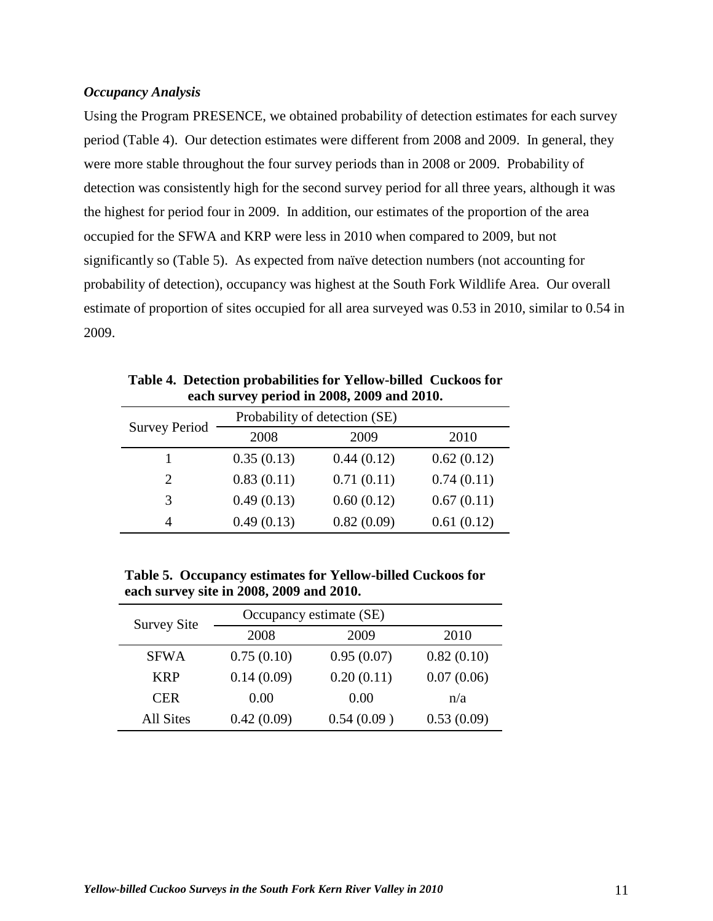#### *Occupancy Analysis*

Using the Program PRESENCE, we obtained probability of detection estimates for each survey period (Table 4). Our detection estimates were different from 2008 and 2009. In general, they were more stable throughout the four survey periods than in 2008 or 2009. Probability of detection was consistently high for the second survey period for all three years, although it was the highest for period four in 2009. In addition, our estimates of the proportion of the area occupied for the SFWA and KRP were less in 2010 when compared to 2009, but not significantly so (Table 5). As expected from naïve detection numbers (not accounting for probability of detection), occupancy was highest at the South Fork Wildlife Area. Our overall estimate of proportion of sites occupied for all area surveyed was 0.53 in 2010, similar to 0.54 in 2009.

| each survey period in 2008, 2009 and 2010. |            |                               |            |  |  |  |  |  |  |
|--------------------------------------------|------------|-------------------------------|------------|--|--|--|--|--|--|
|                                            |            | Probability of detection (SE) |            |  |  |  |  |  |  |
| <b>Survey Period</b>                       | 2008       | 2009                          | 2010       |  |  |  |  |  |  |
|                                            | 0.35(0.13) | 0.44(0.12)                    | 0.62(0.12) |  |  |  |  |  |  |
| $\mathcal{D}_{\mathcal{L}}$                | 0.83(0.11) | 0.71(0.11)                    | 0.74(0.11) |  |  |  |  |  |  |
| 3                                          | 0.49(0.13) | 0.60(0.12)                    | 0.67(0.11) |  |  |  |  |  |  |
| 4                                          | 0.49(0.13) | 0.82(0.09)                    | 0.61(0.12) |  |  |  |  |  |  |

**Table 4. Detection probabilities for Yellow-billed Cuckoos for each survey period in 2008, 2009 and 2010.**

**Table 5. Occupancy estimates for Yellow-billed Cuckoos for each survey site in 2008, 2009 and 2010.**

| <b>Survey Site</b> | Occupancy estimate (SE) |            |            |  |  |  |  |
|--------------------|-------------------------|------------|------------|--|--|--|--|
|                    | 2008                    | 2009       | 2010       |  |  |  |  |
| <b>SFWA</b>        | 0.75(0.10)              | 0.95(0.07) | 0.82(0.10) |  |  |  |  |
| <b>KRP</b>         | 0.14(0.09)              | 0.20(0.11) | 0.07(0.06) |  |  |  |  |
| <b>CER</b>         | 0.00                    | 0.00       | n/a        |  |  |  |  |
| All Sites          | 0.42(0.09)              | 0.54(0.09) | 0.53(0.09) |  |  |  |  |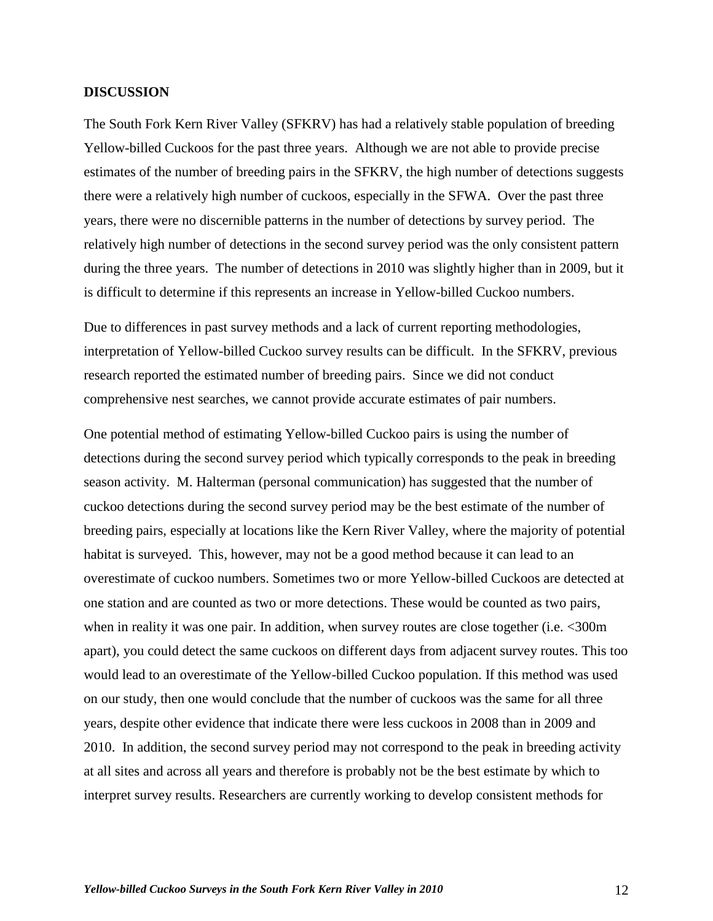#### **DISCUSSION**

The South Fork Kern River Valley (SFKRV) has had a relatively stable population of breeding Yellow-billed Cuckoos for the past three years. Although we are not able to provide precise estimates of the number of breeding pairs in the SFKRV, the high number of detections suggests there were a relatively high number of cuckoos, especially in the SFWA. Over the past three years, there were no discernible patterns in the number of detections by survey period. The relatively high number of detections in the second survey period was the only consistent pattern during the three years. The number of detections in 2010 was slightly higher than in 2009, but it is difficult to determine if this represents an increase in Yellow-billed Cuckoo numbers.

Due to differences in past survey methods and a lack of current reporting methodologies, interpretation of Yellow-billed Cuckoo survey results can be difficult. In the SFKRV, previous research reported the estimated number of breeding pairs. Since we did not conduct comprehensive nest searches, we cannot provide accurate estimates of pair numbers.

One potential method of estimating Yellow-billed Cuckoo pairs is using the number of detections during the second survey period which typically corresponds to the peak in breeding season activity. M. Halterman (personal communication) has suggested that the number of cuckoo detections during the second survey period may be the best estimate of the number of breeding pairs, especially at locations like the Kern River Valley, where the majority of potential habitat is surveyed. This, however, may not be a good method because it can lead to an overestimate of cuckoo numbers. Sometimes two or more Yellow-billed Cuckoos are detected at one station and are counted as two or more detections. These would be counted as two pairs, when in reality it was one pair. In addition, when survey routes are close together (i.e. <300m apart), you could detect the same cuckoos on different days from adjacent survey routes. This too would lead to an overestimate of the Yellow-billed Cuckoo population. If this method was used on our study, then one would conclude that the number of cuckoos was the same for all three years, despite other evidence that indicate there were less cuckoos in 2008 than in 2009 and 2010. In addition, the second survey period may not correspond to the peak in breeding activity at all sites and across all years and therefore is probably not be the best estimate by which to interpret survey results. Researchers are currently working to develop consistent methods for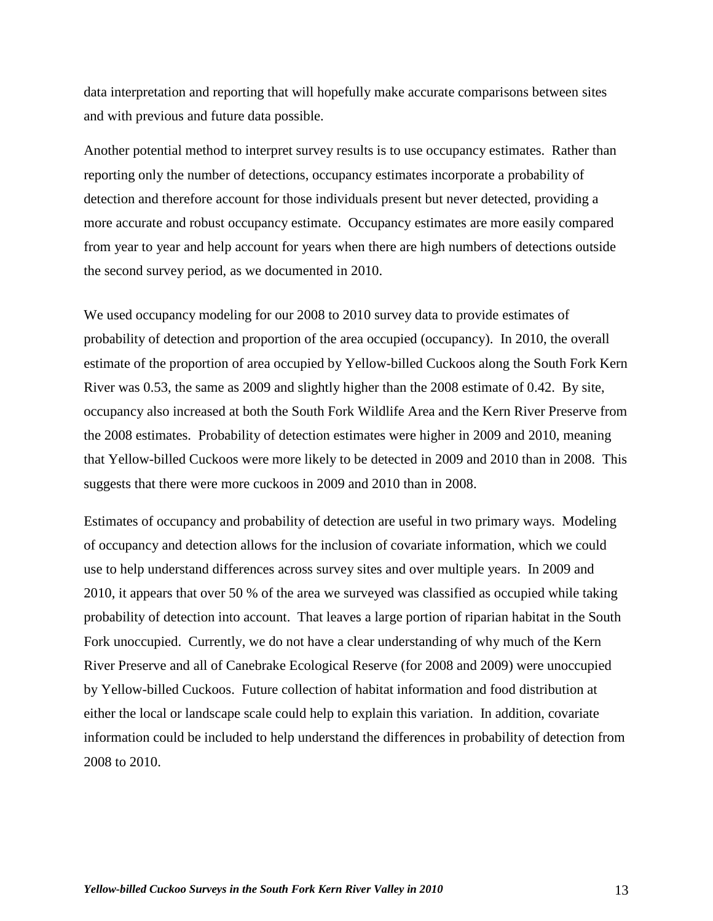data interpretation and reporting that will hopefully make accurate comparisons between sites and with previous and future data possible.

Another potential method to interpret survey results is to use occupancy estimates. Rather than reporting only the number of detections, occupancy estimates incorporate a probability of detection and therefore account for those individuals present but never detected, providing a more accurate and robust occupancy estimate. Occupancy estimates are more easily compared from year to year and help account for years when there are high numbers of detections outside the second survey period, as we documented in 2010.

We used occupancy modeling for our 2008 to 2010 survey data to provide estimates of probability of detection and proportion of the area occupied (occupancy). In 2010, the overall estimate of the proportion of area occupied by Yellow-billed Cuckoos along the South Fork Kern River was 0.53, the same as 2009 and slightly higher than the 2008 estimate of 0.42. By site, occupancy also increased at both the South Fork Wildlife Area and the Kern River Preserve from the 2008 estimates. Probability of detection estimates were higher in 2009 and 2010, meaning that Yellow-billed Cuckoos were more likely to be detected in 2009 and 2010 than in 2008. This suggests that there were more cuckoos in 2009 and 2010 than in 2008.

Estimates of occupancy and probability of detection are useful in two primary ways. Modeling of occupancy and detection allows for the inclusion of covariate information, which we could use to help understand differences across survey sites and over multiple years. In 2009 and 2010, it appears that over 50 % of the area we surveyed was classified as occupied while taking probability of detection into account. That leaves a large portion of riparian habitat in the South Fork unoccupied. Currently, we do not have a clear understanding of why much of the Kern River Preserve and all of Canebrake Ecological Reserve (for 2008 and 2009) were unoccupied by Yellow-billed Cuckoos. Future collection of habitat information and food distribution at either the local or landscape scale could help to explain this variation. In addition, covariate information could be included to help understand the differences in probability of detection from 2008 to 2010.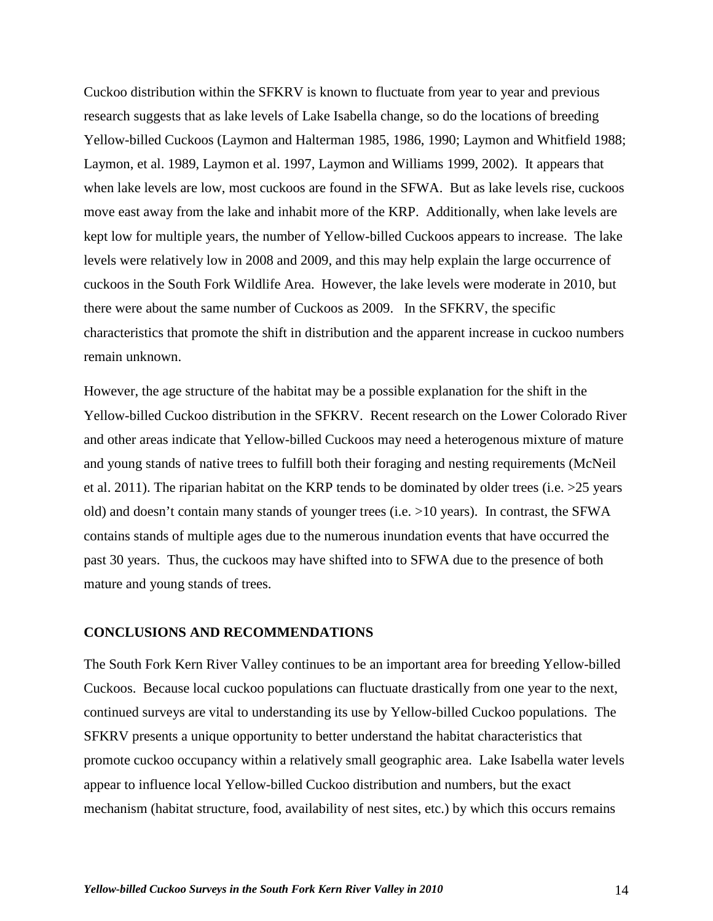Cuckoo distribution within the SFKRV is known to fluctuate from year to year and previous research suggests that as lake levels of Lake Isabella change, so do the locations of breeding Yellow-billed Cuckoos (Laymon and Halterman 1985, 1986, 1990; Laymon and Whitfield 1988; Laymon, et al. 1989, Laymon et al. 1997, Laymon and Williams 1999, 2002). It appears that when lake levels are low, most cuckoos are found in the SFWA. But as lake levels rise, cuckoos move east away from the lake and inhabit more of the KRP. Additionally, when lake levels are kept low for multiple years, the number of Yellow-billed Cuckoos appears to increase. The lake levels were relatively low in 2008 and 2009, and this may help explain the large occurrence of cuckoos in the South Fork Wildlife Area. However, the lake levels were moderate in 2010, but there were about the same number of Cuckoos as 2009. In the SFKRV, the specific characteristics that promote the shift in distribution and the apparent increase in cuckoo numbers remain unknown.

However, the age structure of the habitat may be a possible explanation for the shift in the Yellow-billed Cuckoo distribution in the SFKRV. Recent research on the Lower Colorado River and other areas indicate that Yellow-billed Cuckoos may need a heterogenous mixture of mature and young stands of native trees to fulfill both their foraging and nesting requirements (McNeil et al. 2011). The riparian habitat on the KRP tends to be dominated by older trees (i.e. >25 years old) and doesn't contain many stands of younger trees (i.e. >10 years). In contrast, the SFWA contains stands of multiple ages due to the numerous inundation events that have occurred the past 30 years. Thus, the cuckoos may have shifted into to SFWA due to the presence of both mature and young stands of trees.

#### **CONCLUSIONS AND RECOMMENDATIONS**

The South Fork Kern River Valley continues to be an important area for breeding Yellow-billed Cuckoos. Because local cuckoo populations can fluctuate drastically from one year to the next, continued surveys are vital to understanding its use by Yellow-billed Cuckoo populations. The SFKRV presents a unique opportunity to better understand the habitat characteristics that promote cuckoo occupancy within a relatively small geographic area. Lake Isabella water levels appear to influence local Yellow-billed Cuckoo distribution and numbers, but the exact mechanism (habitat structure, food, availability of nest sites, etc.) by which this occurs remains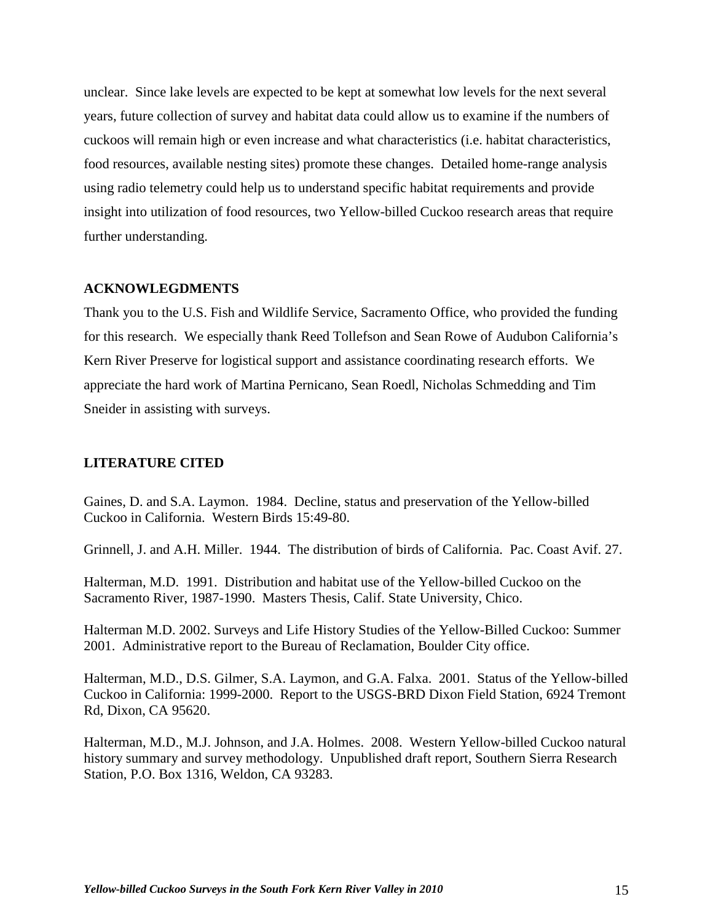unclear. Since lake levels are expected to be kept at somewhat low levels for the next several years, future collection of survey and habitat data could allow us to examine if the numbers of cuckoos will remain high or even increase and what characteristics (i.e. habitat characteristics, food resources, available nesting sites) promote these changes. Detailed home-range analysis using radio telemetry could help us to understand specific habitat requirements and provide insight into utilization of food resources, two Yellow-billed Cuckoo research areas that require further understanding.

#### **ACKNOWLEGDMENTS**

Thank you to the U.S. Fish and Wildlife Service, Sacramento Office, who provided the funding for this research. We especially thank Reed Tollefson and Sean Rowe of Audubon California's Kern River Preserve for logistical support and assistance coordinating research efforts. We appreciate the hard work of Martina Pernicano, Sean Roedl, Nicholas Schmedding and Tim Sneider in assisting with surveys.

#### **LITERATURE CITED**

Gaines, D. and S.A. Laymon. 1984. Decline, status and preservation of the Yellow-billed Cuckoo in California. Western Birds 15:49-80.

Grinnell, J. and A.H. Miller. 1944. The distribution of birds of California. Pac. Coast Avif. 27.

Halterman, M.D. 1991. Distribution and habitat use of the Yellow-billed Cuckoo on the Sacramento River, 1987-1990. Masters Thesis, Calif. State University, Chico.

Halterman M.D. 2002. Surveys and Life History Studies of the Yellow-Billed Cuckoo: Summer 2001. Administrative report to the Bureau of Reclamation, Boulder City office.

Halterman, M.D., D.S. Gilmer, S.A. Laymon, and G.A. Falxa. 2001. Status of the Yellow-billed Cuckoo in California: 1999-2000. Report to the USGS-BRD Dixon Field Station, 6924 Tremont Rd, Dixon, CA 95620.

Halterman, M.D., M.J. Johnson, and J.A. Holmes. 2008. Western Yellow-billed Cuckoo natural history summary and survey methodology. Unpublished draft report, Southern Sierra Research Station, P.O. Box 1316, Weldon, CA 93283.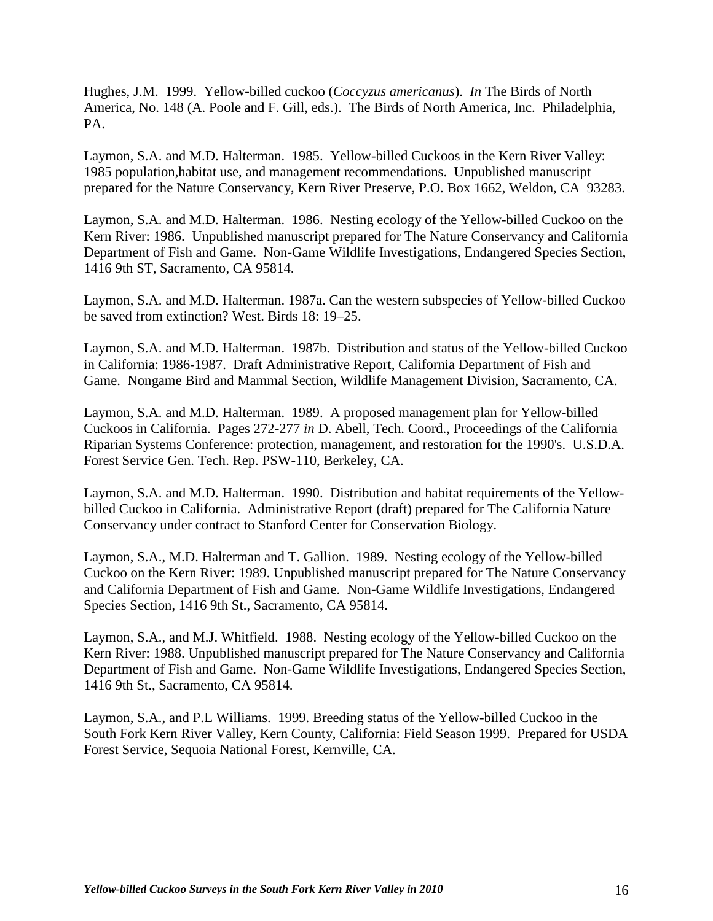Hughes, J.M. 1999. Yellow-billed cuckoo (*Coccyzus americanus*). *In* The Birds of North America, No. 148 (A. Poole and F. Gill, eds.). The Birds of North America, Inc. Philadelphia, PA.

Laymon, S.A. and M.D. Halterman. 1985. Yellow-billed Cuckoos in the Kern River Valley: 1985 population,habitat use, and management recommendations. Unpublished manuscript prepared for the Nature Conservancy, Kern River Preserve, P.O. Box 1662, Weldon, CA 93283.

Laymon, S.A. and M.D. Halterman. 1986. Nesting ecology of the Yellow-billed Cuckoo on the Kern River: 1986. Unpublished manuscript prepared for The Nature Conservancy and California Department of Fish and Game. Non-Game Wildlife Investigations, Endangered Species Section, 1416 9th ST, Sacramento, CA 95814.

Laymon, S.A. and M.D. Halterman. 1987a. Can the western subspecies of Yellow-billed Cuckoo be saved from extinction? West. Birds 18: 19–25.

Laymon, S.A. and M.D. Halterman. 1987b. Distribution and status of the Yellow-billed Cuckoo in California: 1986-1987. Draft Administrative Report, California Department of Fish and Game. Nongame Bird and Mammal Section, Wildlife Management Division, Sacramento, CA.

Laymon, S.A. and M.D. Halterman. 1989. A proposed management plan for Yellow-billed Cuckoos in California. Pages 272-277 *in* D. Abell, Tech. Coord., Proceedings of the California Riparian Systems Conference: protection, management, and restoration for the 1990's. U.S.D.A. Forest Service Gen. Tech. Rep. PSW-110, Berkeley, CA.

Laymon, S.A. and M.D. Halterman. 1990. Distribution and habitat requirements of the Yellowbilled Cuckoo in California. Administrative Report (draft) prepared for The California Nature Conservancy under contract to Stanford Center for Conservation Biology.

Laymon, S.A., M.D. Halterman and T. Gallion. 1989. Nesting ecology of the Yellow-billed Cuckoo on the Kern River: 1989. Unpublished manuscript prepared for The Nature Conservancy and California Department of Fish and Game. Non-Game Wildlife Investigations, Endangered Species Section, 1416 9th St., Sacramento, CA 95814.

Laymon, S.A., and M.J. Whitfield. 1988. Nesting ecology of the Yellow-billed Cuckoo on the Kern River: 1988. Unpublished manuscript prepared for The Nature Conservancy and California Department of Fish and Game. Non-Game Wildlife Investigations, Endangered Species Section, 1416 9th St., Sacramento, CA 95814.

Laymon, S.A., and P.L Williams. 1999. Breeding status of the Yellow-billed Cuckoo in the South Fork Kern River Valley, Kern County, California: Field Season 1999. Prepared for USDA Forest Service, Sequoia National Forest, Kernville, CA.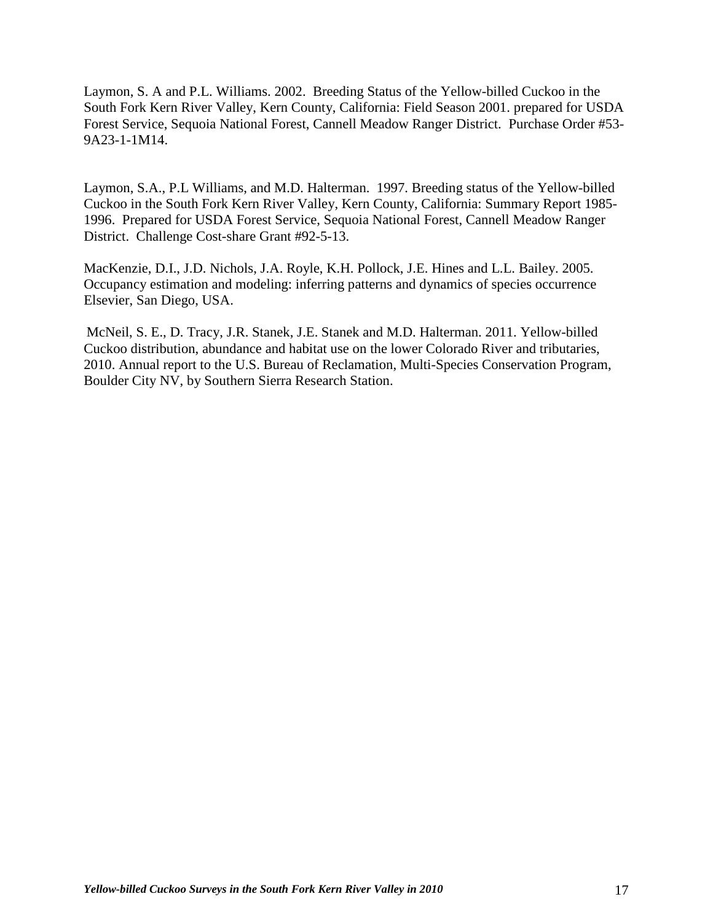Laymon, S. A and P.L. Williams. 2002. Breeding Status of the Yellow-billed Cuckoo in the South Fork Kern River Valley, Kern County, California: Field Season 2001. prepared for USDA Forest Service, Sequoia National Forest, Cannell Meadow Ranger District. Purchase Order #53- 9A23-1-1M14.

Laymon, S.A., P.L Williams, and M.D. Halterman. 1997. Breeding status of the Yellow-billed Cuckoo in the South Fork Kern River Valley, Kern County, California: Summary Report 1985- 1996. Prepared for USDA Forest Service, Sequoia National Forest, Cannell Meadow Ranger District. Challenge Cost-share Grant #92-5-13.

MacKenzie, D.I., J.D. Nichols, J.A. Royle, K.H. Pollock, J.E. Hines and L.L. Bailey. 2005. Occupancy estimation and modeling: inferring patterns and dynamics of species occurrence Elsevier, San Diego, USA.

McNeil, S. E., D. Tracy, J.R. Stanek, J.E. Stanek and M.D. Halterman. 2011. Yellow-billed Cuckoo distribution, abundance and habitat use on the lower Colorado River and tributaries, 2010. Annual report to the U.S. Bureau of Reclamation, Multi-Species Conservation Program, Boulder City NV, by Southern Sierra Research Station.